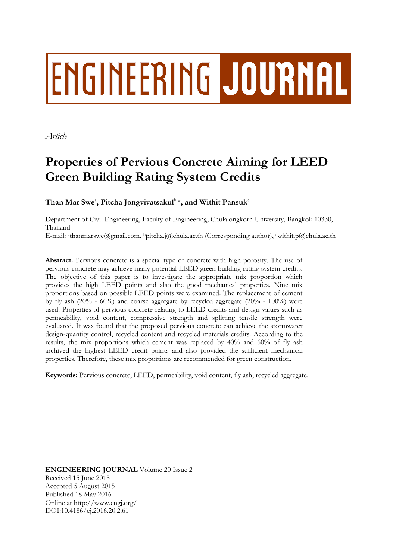# ENGINEERING JOURNAL

*Article*

# **Properties of Pervious Concrete Aiming for LEED Green Building Rating System Credits**

 $\mathbf{T}$ han Mar Swe $^{\circ}$ , Pitcha Jongvivatsakul $^{\mathrm{b},\ast}$ , and Withit Pansuk $^{\mathrm{c}}$ 

Department of Civil Engineering, Faculty of Engineering, Chulalongkorn University, Bangkok 10330, Thailand

E-mail: <sup>a</sup> thanmarswe@gmail.com, <sup>b</sup>pitcha.j@chula.ac.th (Corresponding author), <sup>c</sup>withit.p@chula.ac.th

**Abstract.** Pervious concrete is a special type of concrete with high porosity. The use of pervious concrete may achieve many potential LEED green building rating system credits. The objective of this paper is to investigate the appropriate mix proportion which provides the high LEED points and also the good mechanical properties. Nine mix proportions based on possible LEED points were examined. The replacement of cement by fly ash  $(20\% - 60\%)$  and coarse aggregate by recycled aggregate  $(20\% - 100\%)$  were used. Properties of pervious concrete relating to LEED credits and design values such as permeability, void content, compressive strength and splitting tensile strength were evaluated. It was found that the proposed pervious concrete can achieve the stormwater design-quantity control, recycled content and recycled materials credits. According to the results, the mix proportions which cement was replaced by 40% and 60% of fly ash archived the highest LEED credit points and also provided the sufficient mechanical properties. Therefore, these mix proportions are recommended for green construction.

**Keywords:** Pervious concrete, LEED, permeability, void content, fly ash, recycled aggregate.

**ENGINEERING JOURNAL** Volume 20 Issue 2 Received 15 June 2015 Accepted 5 August 2015 Published 18 May 2016 Online at http://www.engj.org/ DOI:10.4186/ej.2016.20.2.61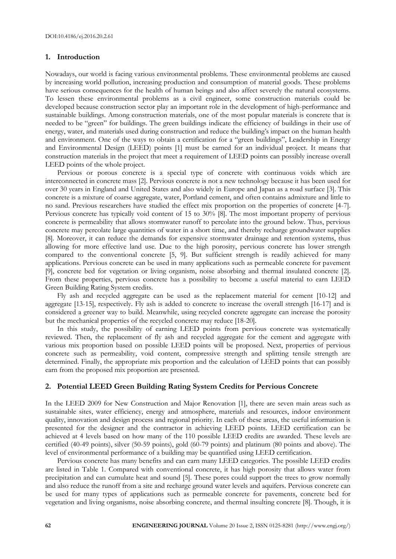# **1. Introduction**

Nowadays, our world is facing various environmental problems. These environmental problems are caused by increasing world pollution, increasing production and consumption of material goods. These problems have serious consequences for the health of human beings and also affect severely the natural ecosystems. To lessen these environmental problems as a civil engineer, some construction materials could be developed because construction sector play an important role in the development of high-performance and sustainable buildings. Among construction materials, one of the most popular materials is concrete that is needed to be "green" for buildings. The green buildings indicate the efficiency of buildings in their use of energy, water, and materials used during construction and reduce the building's impact on the human health and environment. One of the ways to obtain a certification for a "green buildings", Leadership in Energy and Environmental Design (LEED) points [1] must be earned for an individual project. It means that construction materials in the project that meet a requirement of LEED points can possibly increase overall LEED points of the whole project.

Pervious or porous concrete is a special type of concrete with continuous voids which are interconnected in concrete mass [2]. Pervious concrete is not a new technology because it has been used for over 30 years in England and United States and also widely in Europe and Japan as a road surface [3]. This concrete is a mixture of coarse aggregate, water, Portland cement, and often contains admixture and little to no sand. Previous researchers have studied the effect mix proportion on the properties of concrete [4-7]. Pervious concrete has typically void content of 15 to 30% [8]. The most important property of pervious concrete is permeability that allows stormwater runoff to percolate into the ground below. Thus, pervious concrete may percolate large quantities of water in a short time, and thereby recharge groundwater supplies [8]. Moreover, it can reduce the demands for expensive stormwater drainage and retention systems, thus allowing for more effective land use. Due to the high porosity, pervious concrete has lower strength compared to the conventional concrete [5, 9]. But sufficient strength is readily achieved for many applications. Pervious concrete can be used in many applications such as permeable concrete for pavement [9], concrete bed for vegetation or living organism, noise absorbing and thermal insulated concrete [2]. From these properties, pervious concrete has a possibility to become a useful material to earn LEED Green Building Rating System credits.

Fly ash and recycled aggregate can be used as the replacement material for cement [10-12] and aggregate [13-15], respectively. Fly ash is added to concrete to increase the overall strength [16-17] and is considered a greener way to build. Meanwhile, using recycled concrete aggregate can increase the porosity but the mechanical properties of the recycled concrete may reduce [18-20].

In this study, the possibility of earning LEED points from pervious concrete was systematically reviewed. Then, the replacement of fly ash and recycled aggregate for the cement and aggregate with various mix proportion based on possible LEED points will be proposed. Next, properties of pervious concrete such as permeability, void content, compressive strength and splitting tensile strength are determined. Finally, the appropriate mix proportion and the calculation of LEED points that can possibly earn from the proposed mix proportion are presented.

# **2. Potential LEED Green Building Rating System Credits for Pervious Concrete**

In the LEED 2009 for New Construction and Major Renovation [1], there are seven main areas such as sustainable sites, water efficiency, energy and atmosphere, materials and resources, indoor environment quality, innovation and design process and regional priority. In each of these areas, the useful information is presented for the designer and the contractor in achieving LEED points. LEED certification can be achieved at 4 levels based on how many of the 110 possible LEED credits are awarded. These levels are certified (40-49 points), silver (50-59 points), gold (60-79 points) and platinum (80 points and above). The level of environmental performance of a building may be quantified using LEED certification.

Pervious concrete has many benefits and can earn many LEED categories. The possible LEED credits are listed in Table 1. Compared with conventional concrete, it has high porosity that allows water from precipitation and can cumulate heat and sound [5]. These pores could support the trees to grow normally and also reduce the runoff from a site and recharge ground water levels and aquifers. Pervious concrete can be used for many types of applications such as permeable concrete for pavements, concrete bed for vegetation and living organisms, noise absorbing concrete, and thermal insulting concrete [8]. Though, it is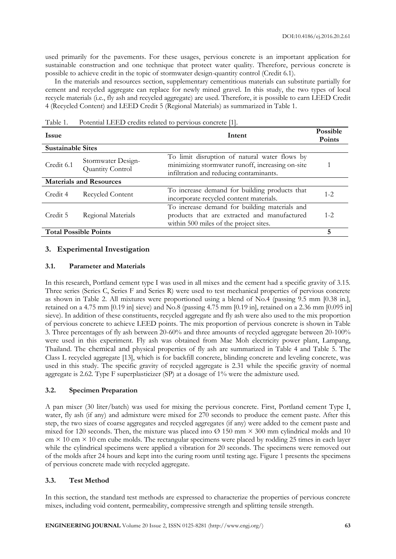used primarily for the pavements. For these usages, pervious concrete is an important application for sustainable construction and one technique that protect water quality. Therefore, pervious concrete is possible to achieve credit in the topic of stormwater design-quantity control (Credit 6.1).

In the materials and resources section, supplementary cementitious materials can substitute partially for cement and recycled aggregate can replace for newly mined gravel. In this study, the two types of local recycle materials (i.e., fly ash and recycled aggregate) are used. Therefore, it is possible to earn LEED Credit 4 (Recycled Content) and LEED Credit 5 (Regional Materials) as summarized in Table 1.

Table 1. Potential LEED credits related to pervious concrete [1].

| <b>Issue</b>                 | Intent                                 |                                                                                                                                              |         |  |
|------------------------------|----------------------------------------|----------------------------------------------------------------------------------------------------------------------------------------------|---------|--|
| <b>Sustainable Sites</b>     |                                        |                                                                                                                                              |         |  |
| Credit 6.1                   | Stormwater Design-<br>Quantity Control | To limit disruption of natural water flows by<br>minimizing stormwater runoff, increasing on-site<br>infiltration and reducing contaminants. |         |  |
|                              | <b>Materials and Resources</b>         |                                                                                                                                              |         |  |
| Credit 4                     | Recycled Content                       | To increase demand for building products that<br>incorporate recycled content materials.                                                     | $1 - 2$ |  |
| Credit 5                     | Regional Materials                     | To increase demand for building materials and<br>products that are extracted and manufactured<br>within 500 miles of the project sites.      | $1 - 2$ |  |
| <b>Total Possible Points</b> |                                        |                                                                                                                                              | 5       |  |

# **3. Experimental Investigation**

# **3.1. Parameter and Materials**

In this research, Portland cement type I was used in all mixes and the cement had a specific gravity of 3.15. Three series (Series C, Series F and Series R) were used to test mechanical properties of pervious concrete as shown in Table 2. All mixtures were proportioned using a blend of No.4 (passing 9.5 mm [0.38 in.], retained on a 4.75 mm [0.19 in] sieve) and No.8 (passing 4.75 mm [0.19 in], retained on a 2.36 mm [0.095 in] sieve). In addition of these constituents, recycled aggregate and fly ash were also used to the mix proportion of pervious concrete to achieve LEED points. The mix proportion of pervious concrete is shown in Table 3. Three percentages of fly ash between 20-60% and three amounts of recycled aggregate between 20-100% were used in this experiment. Fly ash was obtained from Mae Moh electricity power plant, Lampang, Thailand. The chemical and physical properties of fly ash are summarized in Table 4 and Table 5. The Class L recycled aggregate [13], which is for backfill concrete, blinding concrete and leveling concrete, was used in this study. The specific gravity of recycled aggregate is 2.31 while the specific gravity of normal aggregate is 2.62. Type F superplasticizer (SP) at a dosage of 1% were the admixture used.

# **3.2. Specimen Preparation**

A pan mixer (30 liter/batch) was used for mixing the pervious concrete. First, Portland cement Type I, water, fly ash (if any) and admixture were mixed for 270 seconds to produce the cement paste. After this step, the two sizes of coarse aggregates and recycled aggregates (if any) were added to the cement paste and mixed for 120 seconds. Then, the mixture was placed into  $\varnothing$  150 mm  $\times$  300 mm cylindrical molds and 10  $\text{cm} \times 10 \text{ cm} \times 10 \text{ cm}$  cube molds. The rectangular specimens were placed by rodding 25 times in each layer while the cylindrical specimens were applied a vibration for 20 seconds. The specimens were removed out of the molds after 24 hours and kept into the curing room until testing age. Figure 1 presents the specimens of pervious concrete made with recycled aggregate.

# **3.3. Test Method**

In this section, the standard test methods are expressed to characterize the properties of pervious concrete mixes, including void content, permeability, compressive strength and splitting tensile strength.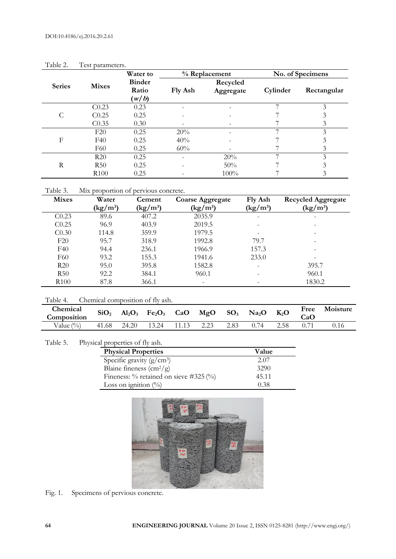|               |                   | Water to       |                          | % Replacement | No. of Specimens |                             |  |
|---------------|-------------------|----------------|--------------------------|---------------|------------------|-----------------------------|--|
| <b>Series</b> | <b>Mixes</b>      | <b>Binder</b>  |                          | Recycled      |                  |                             |  |
|               |                   | Ratio<br>(w/b) | Fly Ash                  | Aggregate     | Cylinder         | Rectangular                 |  |
|               | C <sub>0.23</sub> | 0.23           | $\overline{\phantom{a}}$ |               |                  | $\mathcal{Z}_{\mathcal{A}}$ |  |
| С             | C <sub>0.25</sub> | 0.25           |                          |               |                  |                             |  |
|               | C <sub>0.35</sub> | 0.30           | -                        |               |                  | 3                           |  |
|               | F20               | 0.25           | 20%                      |               |                  | 3                           |  |
| F             | F40               | 0.25           | 40%                      |               |                  | 3                           |  |
|               | F60               | 0.25           | 60%                      |               |                  | 3                           |  |
| R             | R20               | 0.25           | $\overline{\phantom{0}}$ | 20%           | 7                | 3                           |  |
|               | R50               | 0.25           | ۰                        | 50%           |                  | 3                           |  |
|               | R <sub>100</sub>  | 0.25           |                          | 100%          |                  | 3                           |  |

Table 2. Test parameters.

Table 3. Mix proportion of pervious concrete.

| <b>Mixes</b>      | Water                          | Cement                         | <b>Coarse Aggregate</b>        | Fly Ash                        | <b>Recycled Aggregate</b>                   |
|-------------------|--------------------------------|--------------------------------|--------------------------------|--------------------------------|---------------------------------------------|
|                   | $\frac{\text{kg}}{\text{m}^3}$ | $\frac{\text{kg}}{\text{m}^3}$ | $\frac{\text{kg}}{\text{m}^3}$ | $\frac{\text{kg}}{\text{m}^3}$ | $\left(\frac{\text{kg}}{\text{m}^3}\right)$ |
| C <sub>0.23</sub> | 89.6                           | 407.2                          | 2035.9                         | -                              | -                                           |
| C <sub>0.25</sub> | 96.9                           | 403.9                          | 2019.5                         |                                |                                             |
| C <sub>0.30</sub> | 114.8                          | 359.9                          | 1979.5                         |                                |                                             |
| F20               | 95.7                           | 318.9                          | 1992.8                         | 79.7                           |                                             |
| F40               | 94.4                           | 236.1                          | 1966.9                         | 157.3                          |                                             |
| F60               | 93.2                           | 155.3                          | 1941.6                         | 233.0                          |                                             |
| R20               | 95.0                           | 395.8                          | 1582.8                         |                                | 395.7                                       |
| R50               | 92.2                           | 384.1                          | 960.1                          |                                | 960.1                                       |
| R <sub>100</sub>  | 87.8                           | 366.1                          | -                              |                                | 1830.2                                      |

Table 4. Chemical composition of fly ash.

| Chemical<br>Composition | SiO <sub>2</sub> |       | $Al_2O_3$ Fe <sub>2</sub> O <sub>3</sub> CaO MgO SO <sub>3</sub> Na <sub>2</sub> O |       |      |      |      | $K_2O$ | Free<br>CaO | Moisture |
|-------------------------|------------------|-------|------------------------------------------------------------------------------------|-------|------|------|------|--------|-------------|----------|
| Value $(\%)$            | 41.68            | 24.20 | 13.24                                                                              | 11.13 | 2.23 | 2.83 | 0.74 | 2.58   |             |          |

# Table 5. Physical properties of fly ash.

| <b>Physical Properties</b>                    | Value |
|-----------------------------------------------|-------|
| Specific gravity $(g/cm^3)$                   | 2.07  |
| Blaine fineness $\left(\frac{cm^2}{g}\right)$ | 3290  |
| Fineness: $\%$ retained on sieve #325 $(\%$   | 45.11 |
| Loss on ignition $(\%)$                       | 0.38  |



Fig. 1. Specimens of pervious concrete.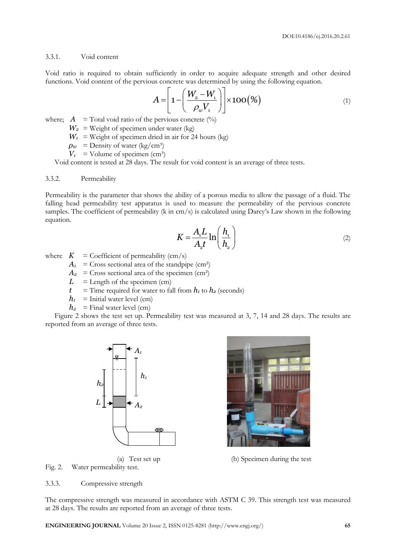# 3.3.1. Void content

Void ratio is required to obtain sufficiently in order to acquire adequate strength and other desired

functions. Void content of the previous concrete was determined by using the following equation.  
\n
$$
A = \left[1 - \left(\frac{W_2 - W_1}{\rho_w V_1}\right)\right] \times 100\left(\frac{\%}{\phi_w}\right) \tag{1}
$$

where;  $A = \text{Total void ratio of the previous concrete } (\%)$ 

- $W_2$  = Weight of specimen under water (kg)
- $W_1$  = Weight of specimen dried in air for 24 hours (kg)
- $\rho_w$  = Density of water (kg/cm<sup>3</sup>)
- $V_1$  = Volume of specimen (cm<sup>3</sup>)

Void content is tested at 28 days. The result for void content is an average of three tests.

# 3.3.2. Permeability

Permeability is the parameter that shows the ability of a porous media to allow the passage of a fluid. The falling head permeability test apparatus is used to measure the permeability of the pervious concrete samples. The coefficient of permeability (k in cm/s) is calculated using Darcy's Law shown in the following equation.

$$
K = \frac{A_1 L}{A_2 t} \ln\left(\frac{h_1}{h_2}\right) \tag{2}
$$

where  $K = \text{Coefficient of permeability (cm/s)}$ 

- $A_1$  = Cross sectional area of the standpipe (cm<sup>2</sup>)
- $A_2$  = Cross sectional area of the specimen (cm<sup>2</sup>)
- $L =$  Length of the specimen (cm)
- $t =$  Time required for water to fall from  $h_1$  to  $h_2$  (seconds)
- $h_1$  = Initial water level (cm)
- $h_2$  = Final water level (cm)

Figure 2 shows the test set up. Permeability test was measured at 3, 7, 14 and 28 days. The results are reported from an average of three tests.





(a) Test set up (b) Specimen during the test

Fig. 2. Water permeability test.

#### 3.3.3. Compressive strength

The compressive strength was measured in accordance with ASTM C 39. This strength test was measured at 28 days. The results are reported from an average of three tests.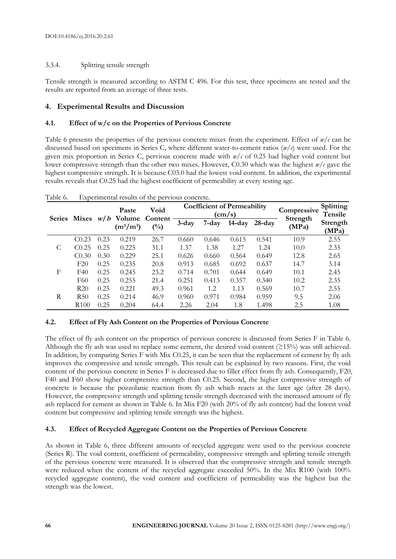# 3.3.4. Splitting tensile strength

Tensile strength is measured according to ASTM C 496. For this test, three specimens are tested and the results are reported from an average of three tests.

# **4. Experimental Results and Discussion**

# **4.1. Effect of w/c on the Properties of Pervious Concrete**

Table 6 presents the properties of the pervious concrete mixes from the experiment. Effect of *w/c* can be discussed based on specimens in Series C, where different water-to-cement ratios (*w*/*c*) were used. For the given mix proportion in Series C, pervious concrete made with *w/c* of 0.25 had higher void content but lower compressive strength than the other two mixes. However, C0.30 which was the highest *w/c* gave the highest compressive strength. It is because C03.0 had the lowest void content. In addition, the experimental results reveals that C0.25 had the highest coefficient of permeability at every testing age.

|               | <b>Mixes</b>      | w/b  | Paste<br>Volume<br>$(m^3/m^3)$ | Void                      |          |           | <b>Coefficient of Permeability</b><br>$\rm (cm/s)$ | Compressive | <b>Splitting</b><br><b>Tensile</b> |                   |
|---------------|-------------------|------|--------------------------------|---------------------------|----------|-----------|----------------------------------------------------|-------------|------------------------------------|-------------------|
| <b>Series</b> |                   |      |                                | Content<br>$\binom{0}{0}$ | $3$ -day | $7 - day$ | $14$ -day                                          | $28$ -day   | Strength<br>(MPa)                  | Strength<br>(MPa) |
|               | C <sub>0.23</sub> | 0.23 | 0.219                          | 26.7                      | 0.660    | 0.646     | 0.615                                              | 0.541       | 10.9                               | 2.55              |
|               | C <sub>0.25</sub> | 0.25 | 0.225                          | 31.1                      | 1.37     | 1.38      | 1.27                                               | 1.24        | 10.0                               | 2.35              |
|               | C <sub>0.30</sub> | 0.30 | 0.229                          | 25.1                      | 0.626    | 0.660     | 0.564                                              | 0.649       | 12.8                               | 2.65              |
|               | F20               | 0.25 | 0.235                          | 20.8                      | 0.913    | 0.685     | 0.692                                              | 0.637       | 14.7                               | 3.14              |
| F             | F40               | 0.25 | 0.245                          | 23.2                      | 0.714    | 0.701     | 0.644                                              | 0.649       | 10.1                               | 2.45              |
|               | F60               | 0.25 | 0.255                          | 21.4                      | 0.251    | 0.413     | 0.357                                              | 0.340       | 10.2                               | 2.35              |
|               | R20               | 0.25 | 0.221                          | 49.3                      | 0.961    | $1.2\,$   | 1.13                                               | 0.569       | 10.7                               | 2.55              |
| R             | R50               | 0.25 | 0.214                          | 46.9                      | 0.960    | 0.971     | 0.984                                              | 0.959       | 9.5                                | 2.06              |
|               | R <sub>100</sub>  | 0.25 | 0.204                          | 64.4                      | 2.26     | 2.04      | 1.8                                                | 1.498       | 2.5                                | 1.08              |

Table 6. Experimental results of the pervious concrete.

# **4.2. Effect of Fly Ash Content on the Properties of Pervious Concrete**

The effect of fly ash content on the properties of pervious concrete is discussed from Series F in Table 6. Although the fly ash was used to replace some cement, the desired void content ( $\geq$ 15%) was still achieved. In addition, by comparing Series F with Mix C0.25, it can be seen that the replacement of cement by fly ash improves the compressive and tensile strength. This result can be explained by two reasons. First, the void content of the pervious concrete in Series F is decreased due to filler effect from fly ash. Consequently, F20, F40 and F60 show higher compressive strength than C0.25. Second, the higher compressive strength of concrete is because the pozzolanic reaction from fly ash which reacts at the later age (after 28 days). However, the compressive strength and splitting tensile strength decreased with the increased amount of fly ash replaced for cement as shown in Table 6. In Mix F20 (with 20% of fly ash content) had the lowest void content but compressive and splitting tensile strength was the highest.

# **4.3. Effect of Recycled Aggregate Content on the Properties of Pervious Concrete**

As shown in Table 6, three different amounts of recycled aggregate were used to the pervious concrete (Series R). The void content, coefficient of permeability, compressive strength and splitting tensile strength of the pervious concrete were measured. It is observed that the compressive strength and tensile strength were reduced when the content of the recycled aggregate exceeded 50%. In the Mix R100 (with 100% recycled aggregate content), the void content and coefficient of permeability was the highest but the strength was the lowest.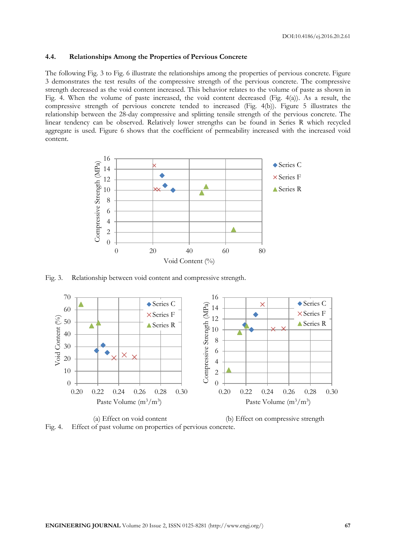# **4.4. Relationships Among the Properties of Pervious Concrete**

The following Fig. 3 to Fig. 6 illustrate the relationships among the properties of pervious concrete. Figure 3 demonstrates the test results of the compressive strength of the pervious concrete. The compressive strength decreased as the void content increased. This behavior relates to the volume of paste as shown in Fig. 4. When the volume of paste increased, the void content decreased (Fig. 4(a)). As a result, the compressive strength of pervious concrete tended to increased (Fig. 4(b)). Figure 5 illustrates the relationship between the 28-day compressive and splitting tensile strength of the pervious concrete. The linear tendency can be observed. Relatively lower strengths can be found in Series R which recycled aggregate is used. Figure 6 shows that the coefficient of permeability increased with the increased void content.



Fig. 3. Relationship between void content and compressive strength.



(a) Effect on void content (b) Effect on compressive strength Fig. 4. Effect of past volume on properties of pervious concrete.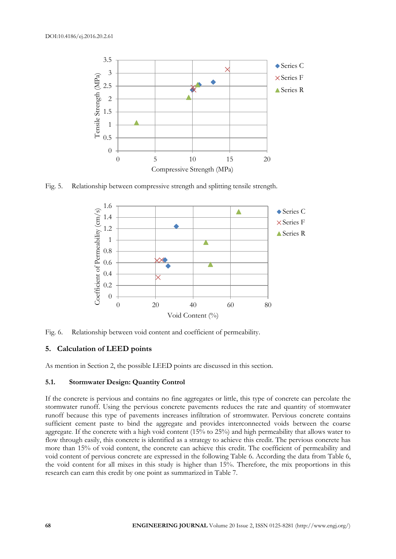

Fig. 5. Relationship between compressive strength and splitting tensile strength.



Fig. 6. Relationship between void content and coefficient of permeability.

# **5. Calculation of LEED points**

As mention in Section 2, the possible LEED points are discussed in this section.

# **5.1. Stormwater Design: Quantity Control**

If the concrete is pervious and contains no fine aggregates or little, this type of concrete can percolate the stormwater runoff. Using the pervious concrete pavements reduces the rate and quantity of stormwater runoff because this type of pavements increases infiltration of strormwater. Pervious concrete contains sufficient cement paste to bind the aggregate and provides interconnected voids between the coarse aggregate. If the concrete with a high void content (15% to 25%) and high permeability that allows water to flow through easily, this concrete is identified as a strategy to achieve this credit. The pervious concrete has more than 15% of void content, the concrete can achieve this credit. The coefficient of permeability and void content of pervious concrete are expressed in the following Table 6. According the data from Table 6, the void content for all mixes in this study is higher than 15%. Therefore, the mix proportions in this research can earn this credit by one point as summarized in Table 7.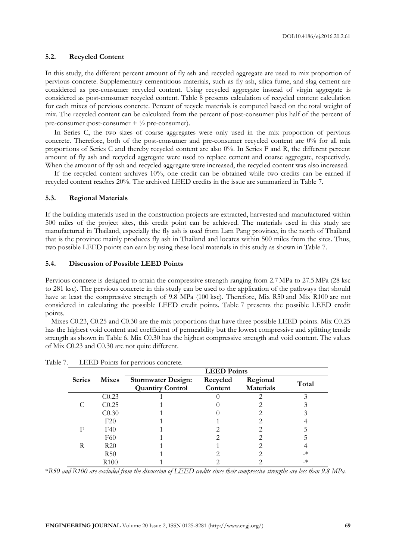DOI:10.4186/ej.2016.20.2.61

# **5.2. Recycled Content**

In this study, the different percent amount of fly ash and recycled aggregate are used to mix proportion of pervious concrete. Supplementary cementitious materials, such as fly ash, silica fume, and slag cement are considered as pre-consumer recycled content. Using recycled aggregate instead of virgin aggregate is considered as post-consumer recycled content. Table 8 presents calculation of recycled content calculation for each mixes of pervious concrete. Percent of recycle materials is computed based on the total weight of mix. The recycled content can be calculated from the percent of post-consumer plus half of the percent of pre-consumer (post-consumer  $+ \frac{1}{2}$  pre-consumer).

In Series C, the two sizes of coarse aggregates were only used in the mix proportion of pervious concrete. Therefore, both of the post-consumer and pre-consumer recycled content are 0% for all mix proportions of Series C and thereby recycled content are also 0%. In Series F and R, the different percent amount of fly ash and recycled aggregate were used to replace cement and coarse aggregate, respectively. When the amount of fly ash and recycled aggregate were increased, the recycled content was also increased.

If the recycled content archives 10%, one credit can be obtained while two credits can be earned if recycled content reaches 20%. The archived LEED credits in the issue are summarized in Table 7.

# **5.3. Regional Materials**

If the building materials used in the construction projects are extracted, harvested and manufactured within 500 miles of the project sites, this credit point can be achieved. The materials used in this study are manufactured in Thailand, especially the fly ash is used from Lam Pang province, in the north of Thailand that is the province mainly produces fly ash in Thailand and locates within 500 miles from the sites. Thus, two possible LEED points can earn by using these local materials in this study as shown in Table 7.

# **5.4. Discussion of Possible LEED Points**

Pervious concrete is designed to attain the compressive strength ranging from 2.7 MPa to 27.5 MPa (28 ksc to 281 ksc). The pervious concrete in this study can be used to the application of the pathways that should have at least the compressive strength of 9.8 MPa (100 ksc). Therefore, Mix R50 and Mix R100 are not considered in calculating the possible LEED credit points. Table 7 presents the possible LEED credit points.

Mixes C0.23, C0.25 and C0.30 are the mix proportions that have three possible LEED points. Mix C0.25 has the highest void content and coefficient of permeability but the lowest compressive and splitting tensile strength as shown in Table 6. Mix C0.30 has the highest compressive strength and void content. The values of Mix C0.23 and C0.30 are not quite different.

|               |                   | <b>LEED Points</b>                                   |                     |                              |       |  |  |
|---------------|-------------------|------------------------------------------------------|---------------------|------------------------------|-------|--|--|
| <b>Series</b> | <b>Mixes</b>      | <b>Stormwater Design:</b><br><b>Quantity Control</b> | Recycled<br>Content | Regional<br><b>Materials</b> | Total |  |  |
|               | C <sub>0.23</sub> |                                                      |                     |                              |       |  |  |
|               | C <sub>0.25</sub> |                                                      |                     |                              |       |  |  |
|               | C <sub>0.30</sub> |                                                      |                     |                              |       |  |  |
|               | F20               |                                                      |                     |                              |       |  |  |
| F             | F40               |                                                      |                     |                              |       |  |  |
|               | F60               |                                                      |                     |                              |       |  |  |
| R             | R20               |                                                      |                     |                              |       |  |  |
|               | R <sub>50</sub>   |                                                      |                     |                              | ∗     |  |  |
|               | R <sub>100</sub>  |                                                      |                     |                              | _*    |  |  |

Table 7. LEED Points for pervious concrete.

\**R50 and R100 are excluded from the discussion of LEED credits since their compressive strengths are less than 9.8 MPa.*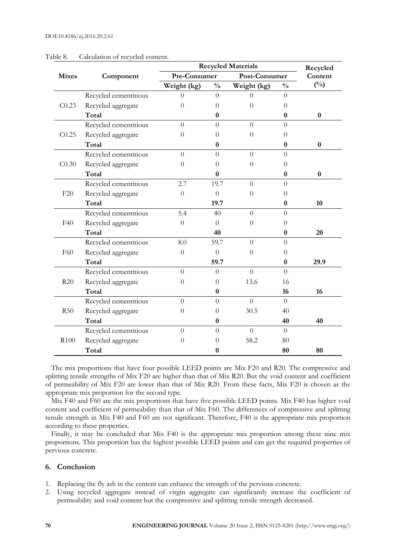|                   |                       |                | <b>Recycled Materials</b> |                |                |               |  |  |
|-------------------|-----------------------|----------------|---------------------------|----------------|----------------|---------------|--|--|
| <b>Mixes</b>      | Component             | Pre-Consumer   |                           | Post-Consumer  |                | Content       |  |  |
|                   |                       | Weight (kg)    | $\frac{0}{0}$             | Weight (kg)    | $\frac{0}{0}$  | $(^{0}/_{0})$ |  |  |
|                   | Recycled cementitious | $\Omega$       | $\overline{0}$            | $\Omega$       | $\theta$       |               |  |  |
| C <sub>0.23</sub> | Recycled aggregate    | $\Omega$       | $\theta$                  | $\Omega$       | $\Omega$       |               |  |  |
|                   | Total                 |                | $\bf{0}$                  |                | $\bf{0}$       | $\bf{0}$      |  |  |
|                   | Recycled cementitious | $\Omega$       | $\theta$                  | $\Omega$       | $\Omega$       |               |  |  |
| C <sub>0.25</sub> | Recycled aggregate    | $\Omega$       | $\theta$                  | $\theta$       | $\theta$       |               |  |  |
|                   | Total                 |                | 0                         |                | $\bf{0}$       | $\bf{0}$      |  |  |
|                   | Recycled cementitious | $\Omega$       | $\theta$                  | $\Omega$       | $\Omega$       |               |  |  |
| C <sub>0.30</sub> | Recycled aggregate    | $\theta$       | $\overline{0}$            | $\theta$       | $\theta$       |               |  |  |
|                   | Total                 |                | $\bf{0}$                  |                | $\bf{0}$       | $\bf{0}$      |  |  |
|                   | Recycled cementitious | 2.7            | 19.7                      | $\Omega$       | $\Omega$       |               |  |  |
| F20               | Recycled aggregate    | $\overline{0}$ | $\overline{0}$            | $\theta$       | $\theta$       |               |  |  |
|                   | Total                 |                | 19.7                      |                | $\bf{0}$       | 10            |  |  |
|                   | Recycled cementitious | 5.4            | 40                        | $\overline{0}$ | $\theta$       |               |  |  |
| F40               | Recycled aggregate    | $\Omega$       | $\theta$                  | $\theta$       | $\theta$       |               |  |  |
|                   | Total                 |                | 40                        |                | $\bf{0}$       | 20            |  |  |
|                   | Recycled cementitious | 8.0            | 59.7                      | $\overline{0}$ | $\overline{0}$ |               |  |  |
| F60               | Recycled aggregate    | $\overline{0}$ | $\overline{0}$            | $\theta$       | $\theta$       |               |  |  |
|                   | Total                 |                | 59.7                      |                | $\bf{0}$       | 29.9          |  |  |
|                   | Recycled cementitious | $\overline{0}$ | $\theta$                  | $\overline{0}$ | $\overline{0}$ |               |  |  |
| R20               | Recycled aggregate    | $\Omega$       | $\overline{0}$            | 13.6           | 16             |               |  |  |
|                   | Total                 |                | $\boldsymbol{0}$          |                | 16             | 16            |  |  |
|                   | Recycled cementitious | $\Omega$       | $\overline{0}$            | $\overline{0}$ | $\theta$       |               |  |  |
| R50               | Recycled aggregate    | $\theta$       | 0                         | 30.5           | 40             |               |  |  |
|                   | Total                 |                | $\bf{0}$                  |                | 40             | 40            |  |  |
|                   | Recycled cementitious | $\theta$       | $\theta$                  | $\overline{0}$ | $\overline{0}$ |               |  |  |
| R100              | Recycled aggregate    | $\Omega$       | 0                         | 58.2           | 80             |               |  |  |
|                   | Total                 |                | 0                         |                | 80             | 80            |  |  |

#### Table 8. Calculation of recycled content.

The mix proportions that have four possible LEED points are Mix F20 and R20. The compressive and splitting tensile strengths of Mix F20 are higher than that of Mix R20. But the void content and coefficient of permeability of Mix F20 are lower than that of Mix R20. From these facts, Mix F20 is chosen as the appropriate mix proportion for the second type.

Mix F40 and F60 are the mix proportions that have five possible LEED points. Mix F40 has higher void content and coefficient of permeability than that of Mix F60. The differences of compressive and splitting tensile strength in Mix F40 and F60 are not significant. Therefore, F40 is the appropriate mix proportion according to these properties.

Finally, it may be concluded that Mix F40 is the appropriate mix proportion among these nine mix proportions. This proportion has the highest possible LEED points and can get the required properties of pervious concrete.

# **6. Conclusion**

- 1. Replacing the fly ash in the cement can enhance the strength of the pervious concrete.
- 2. Using recycled aggregate instead of virgin aggregate can significantly increase the coefficient of permeability and void content but the compressive and splitting tensile strength decreased.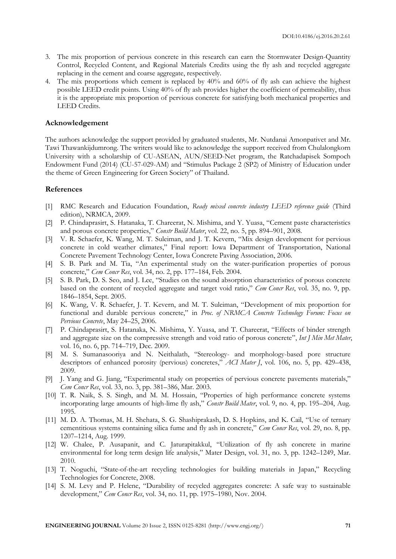- 3. The mix proportion of pervious concrete in this research can earn the Stormwater Design-Quantity Control, Recycled Content, and Regional Materials Credits using the fly ash and recycled aggregate replacing in the cement and coarse aggregate, respectively.
- 4. The mix proportions which cement is replaced by 40% and 60% of fly ash can achieve the highest possible LEED credit points. Using 40% of fly ash provides higher the coefficient of permeability, thus it is the appropriate mix proportion of pervious concrete for satisfying both mechanical properties and LEED Credits.

#### **Acknowledgement**

The authors acknowledge the support provided by graduated students, Mr. Nutdanai Amonpativet and Mr. Tawi Thawankijdumrong. The writers would like to acknowledge the support received from Chulalongkorn University with a scholarship of CU-ASEAN, AUN/SEED-Net program, the Ratchadapisek Sompoch Endowment Fund (2014) (CU-57-029-AM) and "Stimulus Package 2 (SP2) of Ministry of Education under the theme of Green Engineering for Green Society" of Thailand.

# **References**

- [1] RMC Research and Education Foundation, *Ready mixed concrete industry LEED reference guide* (Third edition), NRMCA, 2009.
- [2] P. Chindaprasirt, S. Hatanaka, T. Chareerat, N. Mishima, and Y. Yuasa, "Cement paste characteristics and porous concrete properties," *Constr Build Mater*, vol. 22, no. 5, pp. 894–901, 2008.
- [3] V. R. Schaefer, K. Wang, M. T. Suleiman, and J. T. Kevern, "Mix design development for pervious concrete in cold weather climates," Final report: Iowa Department of Transportation, National Concrete Pavement Technology Center, Iowa Concrete Paving Association, 2006.
- [4] S. B. Park and M. Tia, "An experimental study on the water-purification properties of porous concrete," *Cem Concr Res*, vol. 34, no. 2, pp. 177–184, Feb. 2004.
- [5] S. B. Park, D. S. Seo, and J. Lee, "Studies on the sound absorption characteristics of porous concrete based on the content of recycled aggregate and target void ratio," *Cem Concr Res*, vol. 35, no. 9, pp. 1846–1854, Sept. 2005.
- [6] K. Wang, V. R. Schaefer, J. T. Kevern, and M. T. Suleiman, "Development of mix proportion for functional and durable pervious concrete," in *Proc. of NRMCA Concrete Technology Forum: Focus on Pervious Concrete*, May 24–25, 2006.
- [7] P. Chindaprasirt, S. Hatanaka, N. Mishima, Y. Yuasa, and T. Chareerat, "Effects of binder strength and aggregate size on the compressive strength and void ratio of porous concrete", *Int J Min Met Mater*, vol. 16, no. 6, pp. 714–719, Dec. 2009.
- [8] M. S. Sumanasooriya and N. Neithalath, "Stereology- and morphology-based pore structure descriptors of enhanced porosity (pervious) concretes," *ACI Mater J*, vol. 106, no. 5, pp. 429–438, 2009.
- [9] J. Yang and G. Jiang, "Experimental study on properties of pervious concrete pavements materials," *Cem Concr Res*, vol. 33, no. 3, pp. 381–386, Mar. 2003.
- [10] T. R. Naik, S. S. Singh, and M. M. Hossain, "Properties of high performance concrete systems incorporating large amounts of high-lime fly ash," *Constr Build Mater*, vol. 9, no. 4, pp. 195–204, Aug. 1995.
- [11] M. D. A. Thomas, M. H. Shehata, S. G. Shashiprakash, D. S. Hopkins, and K. Cail, "Use of ternary cementitious systems containing silica fume and fly ash in concrete," *Cem Concr Res*, vol. 29, no. 8, pp. 1207–1214, Aug. 1999.
- [12] W. Chalee, P. Ausapanit, and C. Jaturapitakkul, "Utilization of fly ash concrete in marine environmental for long term design life analysis," Mater Design, vol. 31, no. 3, pp. 1242–1249, Mar. 2010.
- [13] T. Noguchi, "State-of-the-art recycling technologies for building materials in Japan," Recycling Technologies for Concrete, 2008.
- [14] S. M. Levy and P. Helene, "Durability of recycled aggregates concrete: A safe way to sustainable development," *Cem Concr Res*, vol. 34, no. 11, pp. 1975–1980, Nov. 2004.